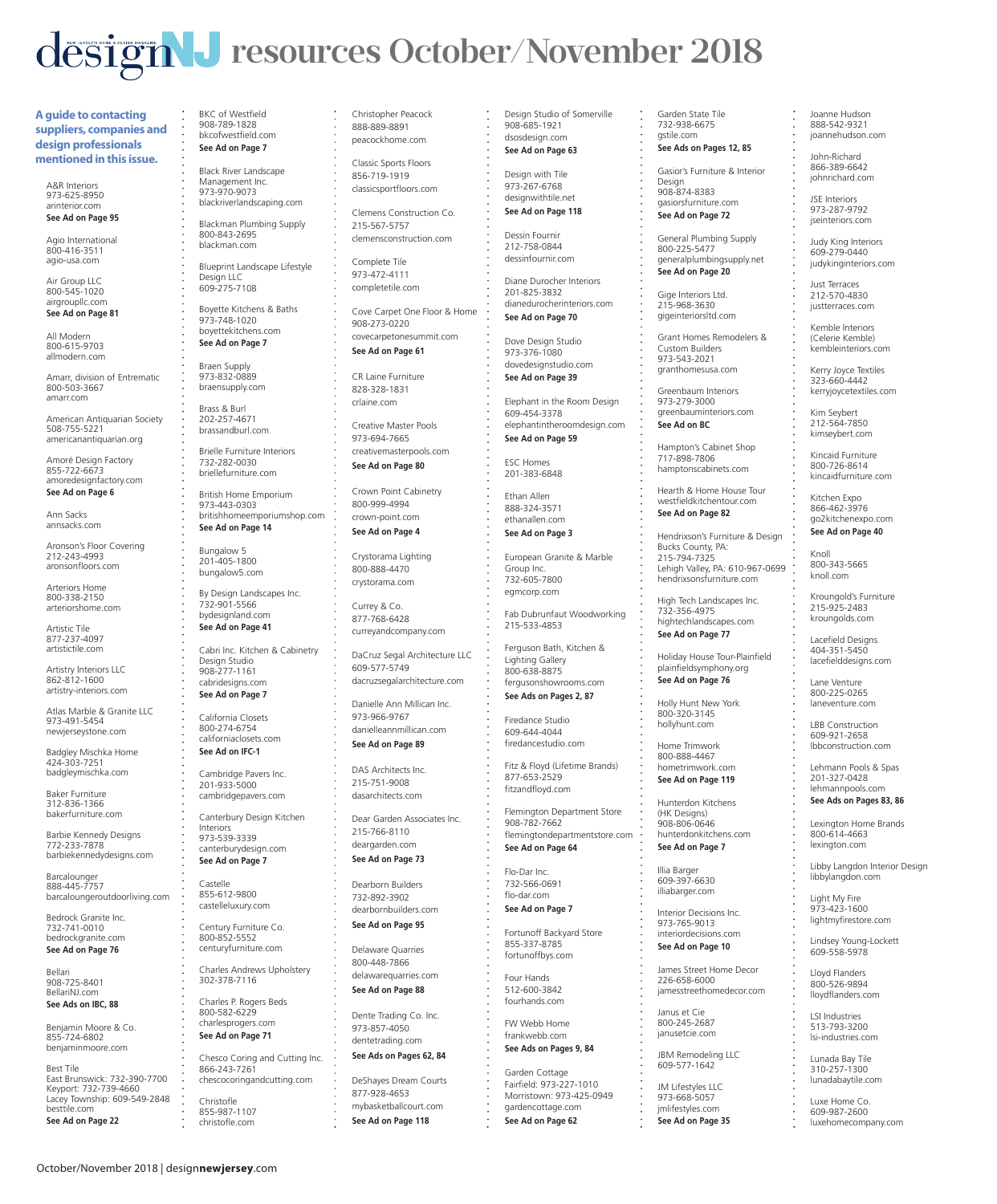## $\text{design}$ **J** resources October/November 2018

**A guide to contacting suppliers, companies and design professionals mentioned in this issue.**

A&R Interiors 973-625-8950 arinterior.com **See Ad on Page 95** 

Agio International 800-416-3511 agio-usa.com

Air Group LLC 800-545-1020 airgroupllc.com **See Ad on Page 81** 

All Modern 800-615-9703 allmodern.com

Amarr, division of Entrematic 800-503-3667 amarr.com

American Antiquarian Society 508-755-5221 americanantiquarian.org

Amoré Design Factory 855-722-6673 amoredesignfactory.com

**See Ad on Page 6**  Ann Sacks

annsacks.com

Aronson's Floor Covering 212-243-4993 aronsonfloors.com

Arteriors Home 800-338-2150 arteriorshome.com

Artistic Tile 877-237-4097 artistictile.com

Artistry Interiors LLC 862-812-1600 artistry-interiors.com

Atlas Marble & Granite LLC 973-491-5454 newjerseystone.com

Badgley Mischka Home 424-303-7251 badgleymischka.com

Baker Furniture 312-836-1366 bakerfurniture.com

Barbie Kennedy Designs 772-233-7878 barbiekennedydesigns.com

**Barcalounger** 888-445-7757 barcaloungeroutdoorliving.com

Bedrock Granite Inc. 732-741-0010 bedrockgranite.com **See Ad on Page 76** 

Bellari 908-725-8401 BellariNJ.com **See Ads on IBC, 88** 

Benjamin Moore & Co. 855-724-6802 benjaminmoore.com

Best Tile East Brunswick: 732-390-7700 Keyport: 732-739-4660 Township: 609-549-2848 Lacey Towns<br>besttile.com

October/November 2018 | design**newjersey**.com

**See Ad on Page 22** 

BKC of Westfield 908-789-1828 bkcofwestfield.com **See Ad on Page 7** 

Black River Landscape Management Inc. 973-970-9073 blackriverlandscaping.com

Blackman Plumbing Supply 800-843-2695 blackman.com

Blueprint Landscape Lifestyle Design LLC 609-275-7108

Boyette Kitchens & Baths 973-748-1020 boyettekitchens.com

**See Ad on Page 7**  Braen Supply 973-832-0889 braensupply.com

Brass & Burl 202-257-4671 brassandburl.com

Brielle Furniture Interiors 732-282-0030 briellefurniture.com

British Home Emporium 973-443-0303 britishhomeemporiumshop.com **See Ad on Page 14** 

Bungalow 5 201-405-1800 bungalow5.com

By Design Landscapes Inc. 732-901-5566 bydesignland.com **See Ad on Page 41** 

Cabri Inc. Kitchen & Cabinetry Design Studio 908-277-1161 cabridesigns.com **See Ad on Page 7** 

California Closets 800-274-6754 californiaclosets.com **See Ad on IFC-1** 

Cambridge Pavers Inc. 201-933-5000 cambridgepavers.com

Canterbury Design Kitchen Interiors 973-539-3339

canterburydesign.com **See Ad on Page 7** 

Castelle 855-612-9800 castelleluxury.com

Century Furniture Co. 800-852-5552 centuryfurniture.com

Charles Andrews Upholstery 302-378-7116

Charles P. Rogers Beds 800-582-6229 charlesprogers.com **See Ad on Page 71** 

Chesco Coring and Cutting Inc. 866-243-7261 chescocoringandcutting.com

Christofle 855-987-1107 christofle.com

Christopher Peacock 888-889-8891 peacockhome.com

Classic Sports Floors 856-719-1919 classicsportfloors.com

Clemens Construction Co. 215-567-5757 clemensconstruction.com

Complete Tile 973-472-4111 completetile.com

Cove Carpet One Floor & Home 908-273-0220 covecarpetonesummit.com

**See Ad on Page 61** 

CR Laine Furniture 828-328-1831 crlaine.com

Creative Master Pools 973-694-7665 creativemasterpools.com

**See Ad on Page 80** 

Crown Point Cabinetry

crown-point.com **See Ad on Page 4** 

> Crystorama Lighting 800-888-4470 crystorama.com

800-999-4994

Currey & Co. 877-768-6428 curreyandcompany.com

DaCruz Segal Architecture LLC 609-577-5749

dacruzsegalarchitecture.com

Danielle Ann Millican Inc. 973-966-9767 danielleannmillican.com

**See Ad on Page 89** 

DAS Architects Inc. 215-751-9008 dasarchitects.com

Dear Garden Associates Inc. 215-766-8110

deargarden.com **See Ad on Page 73** 

Dearborn Builders

732-892-3902

dearbornbuilders.com **See Ad on Page 95** 

Delaware Quarries 800-448-7866 delawarequarries.com **See Ad on Page 88** 

Dente Trading Co. Inc. 973-857-4050 dentetrading.com

**See Ads on Pages 62, 84** 

DeShayes Dream Courts 877-928-4653 mybasketballcourt.com **See Ad on Page 118**

Design Studio of Somerville 908-685-1921 dsosdesign.com

Garden State Tile 732-938-6675 gstile.com **See Ads on Pages 12, 85**  Gasior's Furniture & Interior Joanne Hudson 888-542-9321 joannehudson.com John-Richard 866-389-6642 johnrichard.com JSE Interiors 973-287-9792 iseinteriors.com Judy King Interiors 609-279-0440 judykinginteriors.com Just Terraces 212-570-4830 justterraces.com Kemble Interiors (Celerie Kemble) kembleinteriors.com Kerry Joyce Textiles 323-660-4442 kerryjoycetextiles.com Kim Seybert 212-564-7850 kimseybert.com Kincaid Furniture 800-726-8614 kincaidfurniture.com Kitchen Expo 866-462-3976 go2kitchenexpo.com **See Ad on Page 40** 

Hampton's Cabinet Shop 717-898-7806 hamptonscabinets.com Hearth & Home House Tour westfieldkitchentour.com **See Ad on Page 82** 

Hendrixson's Furniture & Design Bucks County, PA: 215-794-7325

Lehigh Valley, PA: 610-967-0699 hendrixsonsfurniture.com High Tech Landscapes Inc. 732-356-4975 hightechlandscapes.com **See Ad on Page 77** 

Knoll 800-343-5665 knoll.com

Kroungold's Furniture 215-925-2483 kroungolds.com Lacefield Designs 404-351-5450 lacefielddesigns.com Lane Venture 800-225-0265 laneventure.com LBB Construction 609-921-2658 lbbconstruction.com Lehmann Pools & Spas 201-327-0428 lehmannpools.com **See Ads on Pages 83, 86**  Lexington Home Brands 800-614-4663 lexington.com

Libby Langdon Interior Design libbylangdon.com Light My Fire 973-423-1600 lightmyfirestore.com Lindsey Young-Lockett 609-558-5978 Lloyd Flanders 800-526-9894 lloydflanders.com LSI Industries 513-793-3200 lsi-industries.com Lunada Bay Tile 310-257-1300 lunadabaytile.com Luxe Home Co. 609-987-2600 luxehomecompany.com

Holiday House Tour-Plainfield plainfieldsymphony.org **See Ad on Page 76**  Holly Hunt New York 800-320-3145 hollyhunt.com Home Trimwork 800-888-4467 hometrimwork.com **See Ad on Page 119**  Hunterdon Kitchens (HK Designs) 908-806-0646 hunterdonkitchens.com **See Ad on Page 7** 

Illia Barger 609-397-6630 illiabarger.com Interior Decisions Inc. 973-765-9013 interiordecisions.com **See Ad on Page 10**  James Street Home Decor 226-658-6000 jamesstreethomedecor.com

Janus et Cie 800-245-2687 janusetcie.com JBM Remodeling LLC 609-577-1642 JM Lifestyles LLC 973-668-5057 imlifestyles.com **See Ad on Page 35** 

Design 908-874-8383 gasiorsfurniture.com **See Ad on Page 72**  General Plumbing Supply 800-225-5477 generalplumbingsupply.net **See Ad on Page 20**  Gige Interiors Ltd. 215-968-3630 gigeinteriorsltd.com Grant Homes Remodelers & Custom Builders 973-543-2021 granthomesusa.com Greenbaum Interiors 973-279-3000 greenbauminteriors.com **See Ad on BC** 

**See Ad on Page 63**  Design with Tile

973-267-6768 designwithtile.net **See Ad on Page 118** 

> Dessin Fournir 212-758-0844 dessinfournir.com

Diane Durocher Interiors 201-825-3832 dianedurocherinteriors.com

**See Ad on Page 70**  Dove Design Studio 973-376-1080

dovedesignstudio.com **See Ad on Page 39** 

Elephant in the Room Design 609-454-3378 elephantintheroomdesign.com

**See Ad on Page 59**  ESC Homes

201-383-6848

Ethan Allen 888-324-3571 ethanallen.com

**See Ad on Page 3** 

European Granite & Marble Group Inc. 732-605-7800 egmcorp.com

Fab Dubrunfaut Woodworking

215-533-4853

Ferguson Bath, Kitchen & Lighting Gallery 800-638-8875

fergusonshowrooms.com **See Ads on Pages 2, 87** 

Firedance Studio 609-644-4044 firedancestudio.com

Fitz & Floyd (Lifetime Brands) 877-653-2529 fitzandfloyd.com

Flemington Department Store 908-782-7662

flemingtondepartmentstore.com **See Ad on Page 64** 

Flo-Dar Inc. 732-566-0691

Fortunoff Backyard Store 855-337-8785 fortunoffbys.com Four Hands 512-600-3842 fourhands.com FW Webb Home frankwebb.com **See Ads on Pages 9, 84**  Garden Cottage Fairfield: 973-227-1010 Morristown: 973-425-0949 gardencottage.com **See Ad on Page 62**

flo-dar.com

**See Ad on Page 7**